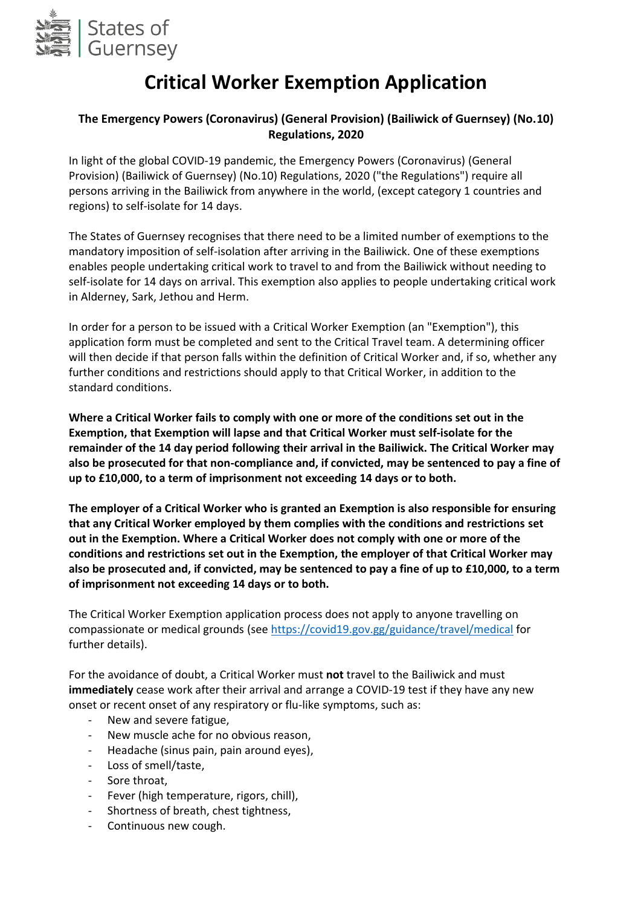

# **Critical Worker Exemption Application**

#### **The Emergency Powers (Coronavirus) (General Provision) (Bailiwick of Guernsey) (No.10) Regulations, 2020**

In light of the global COVID-19 pandemic, the Emergency Powers (Coronavirus) (General Provision) (Bailiwick of Guernsey) (No.10) Regulations, 2020 ("the Regulations") require all persons arriving in the Bailiwick from anywhere in the world, (except category 1 countries and regions) to self-isolate for 14 days.

The States of Guernsey recognises that there need to be a limited number of exemptions to the mandatory imposition of self-isolation after arriving in the Bailiwick. One of these exemptions enables people undertaking critical work to travel to and from the Bailiwick without needing to self-isolate for 14 days on arrival. This exemption also applies to people undertaking critical work in Alderney, Sark, Jethou and Herm.

In order for a person to be issued with a Critical Worker Exemption (an "Exemption"), this application form must be completed and sent to the Critical Travel team. A determining officer will then decide if that person falls within the definition of Critical Worker and, if so, whether any further conditions and restrictions should apply to that Critical Worker, in addition to the standard conditions.

**Where a Critical Worker fails to comply with one or more of the conditions set out in the Exemption, that Exemption will lapse and that Critical Worker must self-isolate for the remainder of the 14 day period following their arrival in the Bailiwick. The Critical Worker may also be prosecuted for that non-compliance and, if convicted, may be sentenced to pay a fine of up to £10,000, to a term of imprisonment not exceeding 14 days or to both.**

**The employer of a Critical Worker who is granted an Exemption is also responsible for ensuring that any Critical Worker employed by them complies with the conditions and restrictions set out in the Exemption. Where a Critical Worker does not comply with one or more of the conditions and restrictions set out in the Exemption, the employer of that Critical Worker may also be prosecuted and, if convicted, may be sentenced to pay a fine of up to £10,000, to a term of imprisonment not exceeding 14 days or to both.**

The Critical Worker Exemption application process does not apply to anyone travelling on compassionate or medical grounds (se[e https://covid19.gov.gg/guidance/travel/medical](https://covid19.gov.gg/guidance/travel/medical) for further details).

For the avoidance of doubt, a Critical Worker must **not** travel to the Bailiwick and must **immediately** cease work after their arrival and arrange a COVID-19 test if they have any new onset or recent onset of any respiratory or flu-like symptoms, such as:

- New and severe fatigue,
- New muscle ache for no obvious reason,
- Headache (sinus pain, pain around eyes),
- Loss of smell/taste,
- Sore throat,
- Fever (high temperature, rigors, chill),
- Shortness of breath, chest tightness,
- Continuous new cough.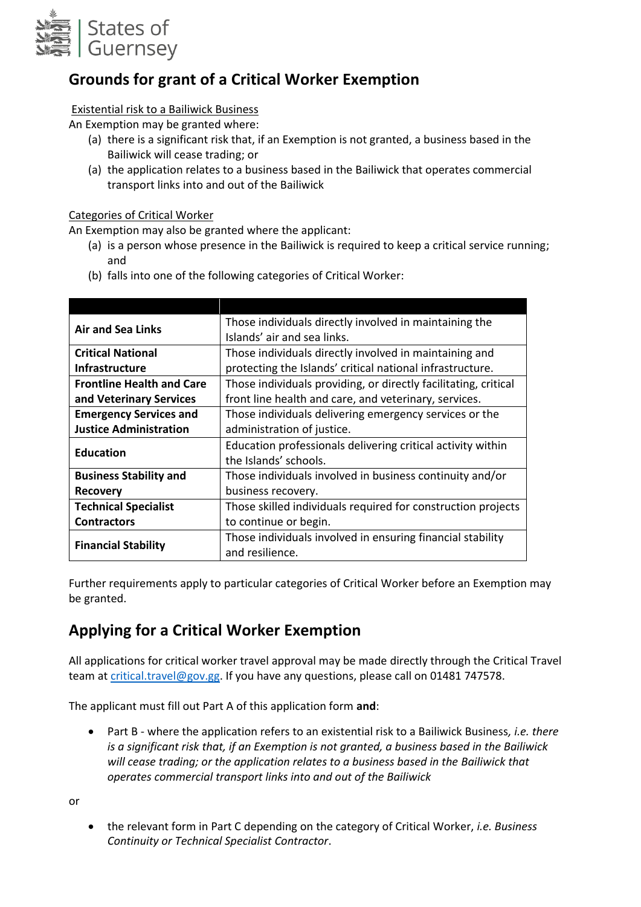

## **Grounds for grant of a Critical Worker Exemption**

#### Existential risk to a Bailiwick Business

An Exemption may be granted where:

- (a) there is a significant risk that, if an Exemption is not granted, a business based in the Bailiwick will cease trading; or
- (a) the application relates to a business based in the Bailiwick that operates commercial transport links into and out of the Bailiwick

#### Categories of Critical Worker

An Exemption may also be granted where the applicant:

- (a) is a person whose presence in the Bailiwick is required to keep a critical service running; and
- (b) falls into one of the following categories of Critical Worker:

| <b>Air and Sea Links</b>         | Those individuals directly involved in maintaining the          |
|----------------------------------|-----------------------------------------------------------------|
|                                  | Islands' air and sea links.                                     |
| <b>Critical National</b>         | Those individuals directly involved in maintaining and          |
| <b>Infrastructure</b>            | protecting the Islands' critical national infrastructure.       |
| <b>Frontline Health and Care</b> | Those individuals providing, or directly facilitating, critical |
| and Veterinary Services          | front line health and care, and veterinary, services.           |
| <b>Emergency Services and</b>    | Those individuals delivering emergency services or the          |
| <b>Justice Administration</b>    | administration of justice.                                      |
| <b>Education</b>                 | Education professionals delivering critical activity within     |
|                                  | the Islands' schools.                                           |
| <b>Business Stability and</b>    | Those individuals involved in business continuity and/or        |
| Recovery                         | business recovery.                                              |
| <b>Technical Specialist</b>      | Those skilled individuals required for construction projects    |
| <b>Contractors</b>               | to continue or begin.                                           |
| <b>Financial Stability</b>       | Those individuals involved in ensuring financial stability      |
|                                  | and resilience.                                                 |

Further requirements apply to particular categories of Critical Worker before an Exemption may be granted.

#### **Applying for a Critical Worker Exemption**

All applications for critical worker travel approval may be made directly through the Critical Travel team a[t critical.travel@gov.gg.](mailto:critical.travel@gov.gg) If you have any questions, please call on 01481 747578.

The applicant must fill out Part A of this application form **and**:

 Part B - where the application refers to an existential risk to a Bailiwick Business*, i.e. there is a significant risk that, if an Exemption is not granted, a business based in the Bailiwick will cease trading; or the application relates to a business based in the Bailiwick that operates commercial transport links into and out of the Bailiwick*

or

 the relevant form in Part C depending on the category of Critical Worker, *i.e. Business Continuity or Technical Specialist Contractor*.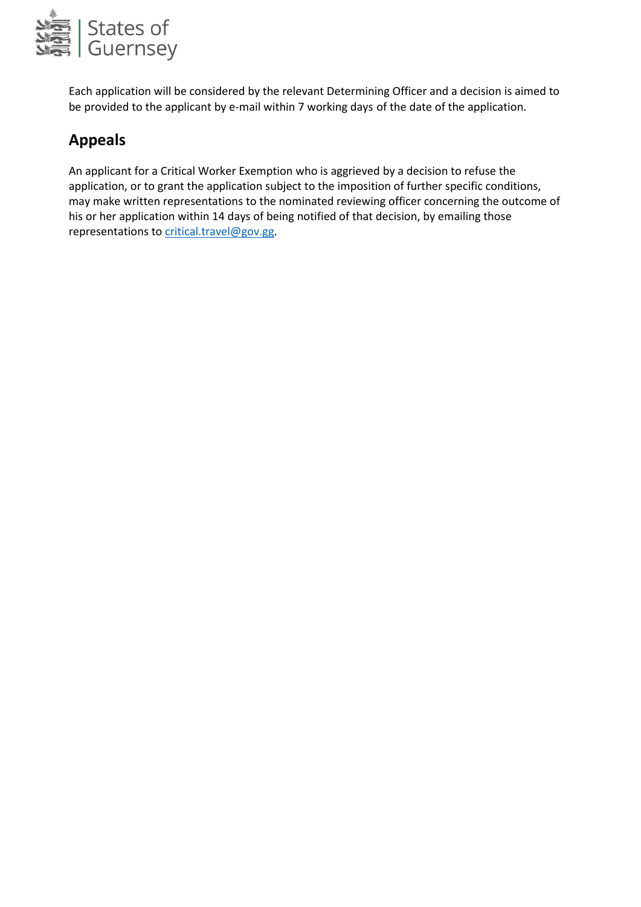

Each application will be considered by the relevant Determining Officer and a decision is aimed to be provided to the applicant by e-mail within 7 working days of the date of the application.

## **Appeals**

An applicant for a Critical Worker Exemption who is aggrieved by a decision to refuse the application, or to grant the application subject to the imposition of further specific conditions, may make written representations to the nominated reviewing officer concerning the outcome of his or her application within 14 days of being notified of that decision, by emailing those representations to [critical.travel@gov.gg.](mailto:critical.travel@gov.gg)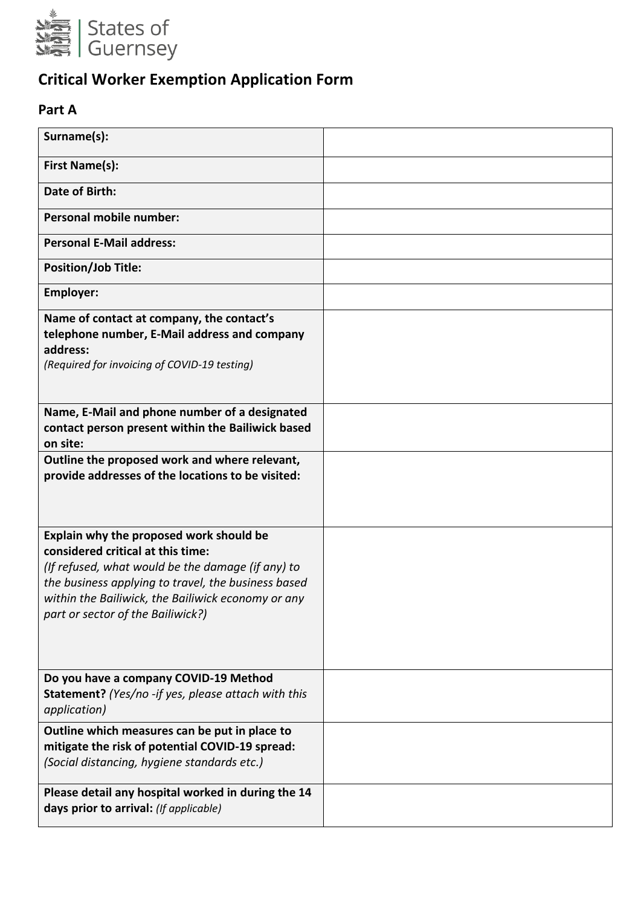

# **Critical Worker Exemption Application Form**

## **Part A**

| Surname(s):                                                                                                                                                                                                                                                                         |  |
|-------------------------------------------------------------------------------------------------------------------------------------------------------------------------------------------------------------------------------------------------------------------------------------|--|
| <b>First Name(s):</b>                                                                                                                                                                                                                                                               |  |
| <b>Date of Birth:</b>                                                                                                                                                                                                                                                               |  |
| <b>Personal mobile number:</b>                                                                                                                                                                                                                                                      |  |
| <b>Personal E-Mail address:</b>                                                                                                                                                                                                                                                     |  |
| <b>Position/Job Title:</b>                                                                                                                                                                                                                                                          |  |
| <b>Employer:</b>                                                                                                                                                                                                                                                                    |  |
| Name of contact at company, the contact's<br>telephone number, E-Mail address and company<br>address:<br>(Required for invoicing of COVID-19 testing)                                                                                                                               |  |
| Name, E-Mail and phone number of a designated<br>contact person present within the Bailiwick based<br>on site:                                                                                                                                                                      |  |
| Outline the proposed work and where relevant,<br>provide addresses of the locations to be visited:                                                                                                                                                                                  |  |
| Explain why the proposed work should be<br>considered critical at this time:<br>(If refused, what would be the damage (if any) to<br>the business applying to travel, the business based<br>within the Bailiwick, the Bailiwick economy or any<br>part or sector of the Bailiwick?) |  |
| Do you have a company COVID-19 Method<br>Statement? (Yes/no -if yes, please attach with this<br>application)                                                                                                                                                                        |  |
| Outline which measures can be put in place to<br>mitigate the risk of potential COVID-19 spread:<br>(Social distancing, hygiene standards etc.)                                                                                                                                     |  |
| Please detail any hospital worked in during the 14<br>days prior to arrival: (If applicable)                                                                                                                                                                                        |  |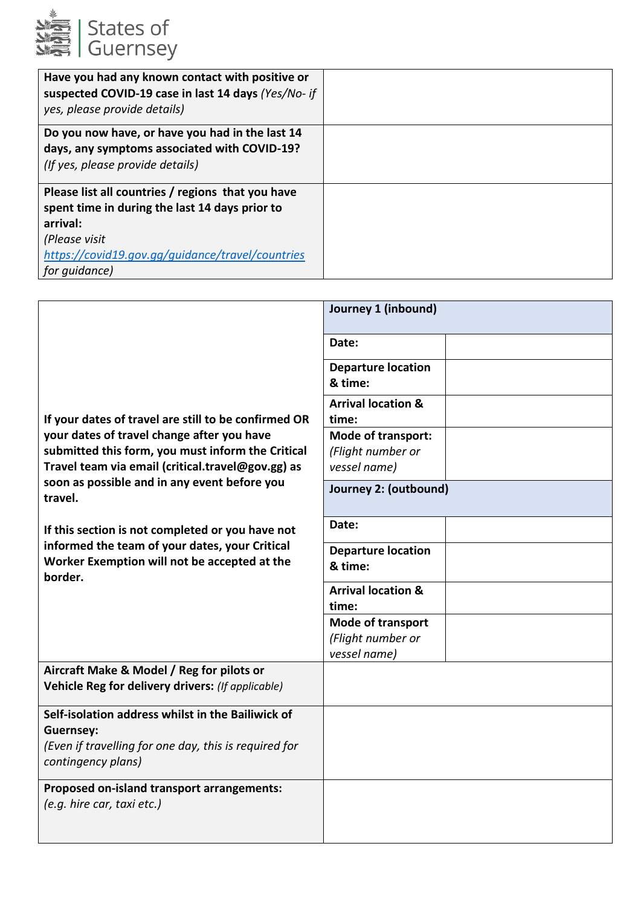

| Have you had any known contact with positive or<br>suspected COVID-19 case in last 14 days (Yes/No- if<br>yes, please provide details) |  |
|----------------------------------------------------------------------------------------------------------------------------------------|--|
| Do you now have, or have you had in the last 14                                                                                        |  |
| days, any symptoms associated with COVID-19?                                                                                           |  |
| (If yes, please provide details)                                                                                                       |  |
| Please list all countries / regions that you have                                                                                      |  |
| spent time in during the last 14 days prior to                                                                                         |  |
| arrival:                                                                                                                               |  |
| (Please visit                                                                                                                          |  |
| https://covid19.gov.gg/guidance/travel/countries                                                                                       |  |
| for quidance)                                                                                                                          |  |

|                                                                                                                                                      | Journey 1 (inbound)                                            |
|------------------------------------------------------------------------------------------------------------------------------------------------------|----------------------------------------------------------------|
|                                                                                                                                                      | Date:                                                          |
| If your dates of travel are still to be confirmed OR                                                                                                 | <b>Departure location</b><br>& time:                           |
|                                                                                                                                                      | <b>Arrival location &amp;</b><br>time:                         |
| your dates of travel change after you have<br>submitted this form, you must inform the Critical<br>Travel team via email (critical.travel@gov.gg) as | <b>Mode of transport:</b><br>(Flight number or<br>vessel name) |
| soon as possible and in any event before you<br>travel.                                                                                              | Journey 2: (outbound)                                          |
| If this section is not completed or you have not                                                                                                     | Date:                                                          |
| informed the team of your dates, your Critical<br>Worker Exemption will not be accepted at the<br>border.                                            | <b>Departure location</b><br>& time:                           |
|                                                                                                                                                      | <b>Arrival location &amp;</b><br>time:                         |
|                                                                                                                                                      | <b>Mode of transport</b><br>(Flight number or<br>vessel name)  |
| Aircraft Make & Model / Reg for pilots or<br>Vehicle Reg for delivery drivers: (If applicable)                                                       |                                                                |
| Self-isolation address whilst in the Bailiwick of<br><b>Guernsey:</b><br>(Even if travelling for one day, this is required for<br>contingency plans) |                                                                |
| Proposed on-island transport arrangements:<br>(e.g. hire car, taxi etc.)                                                                             |                                                                |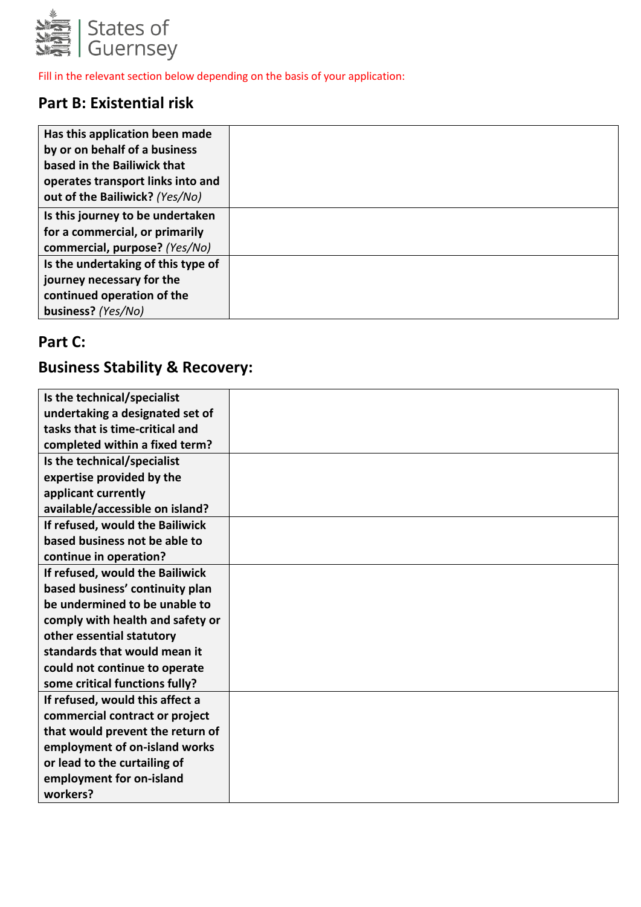

Fill in the relevant section below depending on the basis of your application:

## **Part B: Existential risk**

| Has this application been made<br>by or on behalf of a business<br>based in the Bailiwick that<br>operates transport links into and<br>out of the Bailiwick? (Yes/No) |  |
|-----------------------------------------------------------------------------------------------------------------------------------------------------------------------|--|
| Is this journey to be undertaken<br>for a commercial, or primarily<br>commercial, purpose? (Yes/No)                                                                   |  |
| Is the undertaking of this type of<br>journey necessary for the<br>continued operation of the<br>business? (Yes/No)                                                   |  |

## **Part C:**

## **Business Stability & Recovery:**

| Is the technical/specialist      |  |
|----------------------------------|--|
| undertaking a designated set of  |  |
| tasks that is time-critical and  |  |
| completed within a fixed term?   |  |
| Is the technical/specialist      |  |
| expertise provided by the        |  |
| applicant currently              |  |
| available/accessible on island?  |  |
| If refused, would the Bailiwick  |  |
| based business not be able to    |  |
| continue in operation?           |  |
| If refused, would the Bailiwick  |  |
| based business' continuity plan  |  |
| be undermined to be unable to    |  |
| comply with health and safety or |  |
| other essential statutory        |  |
| standards that would mean it     |  |
| could not continue to operate    |  |
| some critical functions fully?   |  |
| If refused, would this affect a  |  |
| commercial contract or project   |  |
| that would prevent the return of |  |
| employment of on-island works    |  |
| or lead to the curtailing of     |  |
| employment for on-island         |  |
| workers?                         |  |